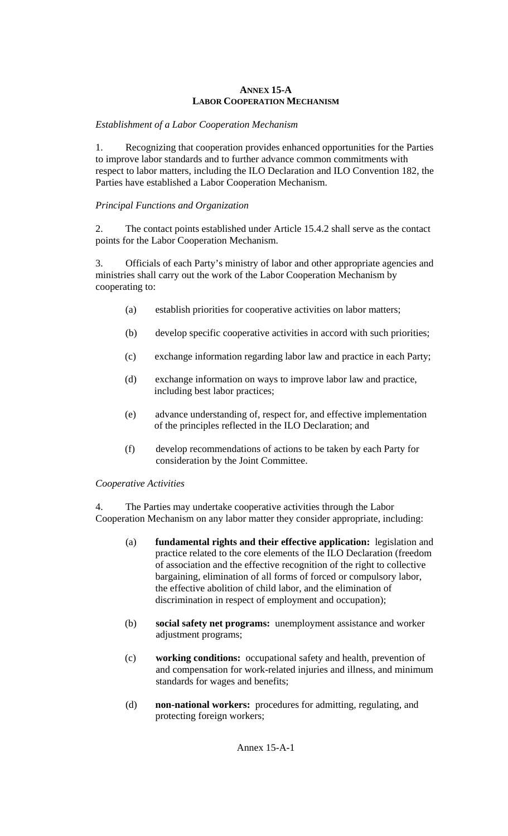### **ANNEX 15-A LABOR COOPERATION MECHANISM**

# *Establishment of a Labor Cooperation Mechanism*

1. Recognizing that cooperation provides enhanced opportunities for the Parties to improve labor standards and to further advance common commitments with respect to labor matters, including the ILO Declaration and ILO Convention 182, the Parties have established a Labor Cooperation Mechanism.

## *Principal Functions and Organization*

2. The contact points established under Article 15.4.2 shall serve as the contact points for the Labor Cooperation Mechanism.

3. Officials of each Party's ministry of labor and other appropriate agencies and ministries shall carry out the work of the Labor Cooperation Mechanism by cooperating to:

- (a) establish priorities for cooperative activities on labor matters;
- (b) develop specific cooperative activities in accord with such priorities;
- (c) exchange information regarding labor law and practice in each Party;
- (d) exchange information on ways to improve labor law and practice, including best labor practices;
- (e) advance understanding of, respect for, and effective implementation of the principles reflected in the ILO Declaration; and
- (f) develop recommendations of actions to be taken by each Party for consideration by the Joint Committee.

#### *Cooperative Activities*

4. The Parties may undertake cooperative activities through the Labor Cooperation Mechanism on any labor matter they consider appropriate, including:

- (a) **fundamental rights and their effective application:** legislation and practice related to the core elements of the ILO Declaration (freedom of association and the effective recognition of the right to collective bargaining, elimination of all forms of forced or compulsory labor, the effective abolition of child labor, and the elimination of discrimination in respect of employment and occupation);
- (b) **social safety net programs:** unemployment assistance and worker adjustment programs;
- (c) **working conditions:** occupational safety and health, prevention of and compensation for work-related injuries and illness, and minimum standards for wages and benefits;
- (d) **non-national workers:** procedures for admitting, regulating, and protecting foreign workers;